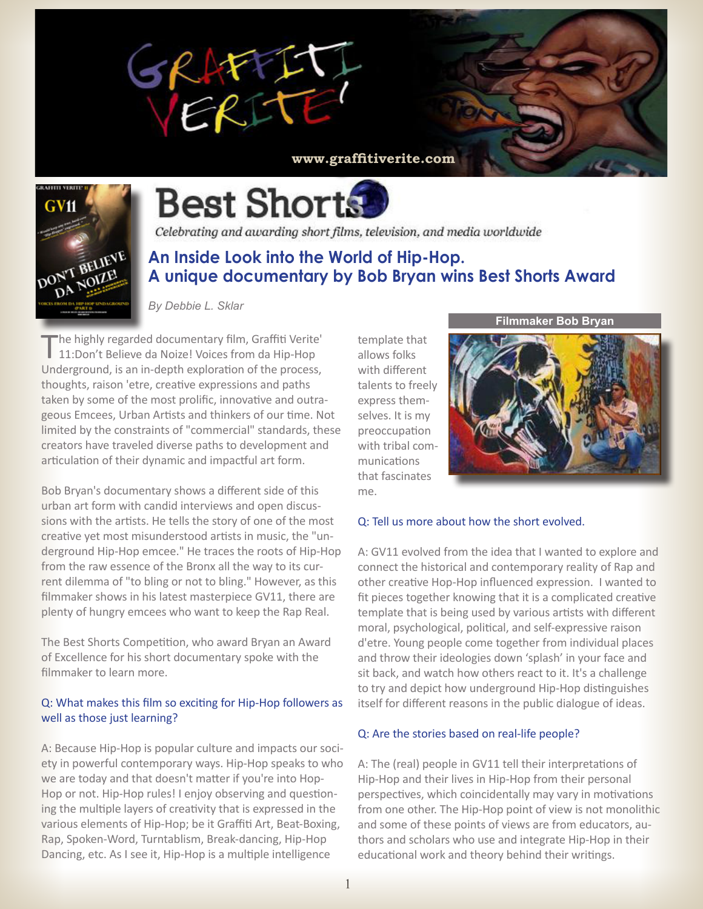





# **Best Shorts**

Celebrating and awarding short films, television, and media worldwide

# **An Inside Look into the World of Hip-Hop. A unique documentary by Bob Bryan wins Best Shorts Award**

*By Debbie L. Sklar*

The highly regarded documentary film, Graffiti Verite'<br>11:Don't Believe da Noize! Voices from da Hip-Hop Underground, is an in-depth exploration of the process, thoughts, raison 'etre, creative expressions and paths taken by some of the most prolific, innovative and outrageous Emcees, Urban Artists and thinkers of our time. Not limited by the constraints of "commercial" standards, these creators have traveled diverse paths to development and articulation of their dynamic and impactful art form.

Bob Bryan's documentary shows a different side of this urban art form with candid interviews and open discussions with the artists. He tells the story of one of the most creative yet most misunderstood artists in music, the "underground Hip-Hop emcee." He traces the roots of Hip-Hop from the raw essence of the Bronx all the way to its current dilemma of "to bling or not to bling." However, as this filmmaker shows in his latest masterpiece GV11, there are plenty of hungry emcees who want to keep the Rap Real.

The Best Shorts Competition, who award Bryan an Award of Excellence for his short documentary spoke with the filmmaker to learn more.

# Q: What makes this film so exciting for Hip-Hop followers as well as those just learning?

A: Because Hip-Hop is popular culture and impacts our society in powerful contemporary ways. Hip-Hop speaks to who we are today and that doesn't matter if you're into Hop-Hop or not. Hip-Hop rules! I enjoy observing and questioning the multiple layers of creativity that is expressed in the various elements of Hip-Hop; be it Graffiti Art, Beat-Boxing, Rap, Spoken-Word, Turntablism, Break-dancing, Hip-Hop Dancing, etc. As I see it, Hip-Hop is a multiple intelligence

template that allows folks with different talents to freely express themselves. It is my preoccupation with tribal communications that fascinates me.

#### **Filmmaker Bob Bryan**



# Q: Tell us more about how the short evolved.

A: GV11 evolved from the idea that I wanted to explore and connect the historical and contemporary reality of Rap and other creative Hop-Hop influenced expression. I wanted to fit pieces together knowing that it is a complicated creative template that is being used by various artists with different moral, psychological, political, and self-expressive raison d'etre. Young people come together from individual places and throw their ideologies down 'splash' in your face and sit back, and watch how others react to it. It's a challenge to try and depict how underground Hip-Hop distinguishes itself for different reasons in the public dialogue of ideas.

# Q: Are the stories based on real-life people?

A: The (real) people in GV11 tell their interpretations of Hip-Hop and their lives in Hip-Hop from their personal perspectives, which coincidentally may vary in motivations from one other. The Hip-Hop point of view is not monolithic and some of these points of views are from educators, authors and scholars who use and integrate Hip-Hop in their educational work and theory behind their writings.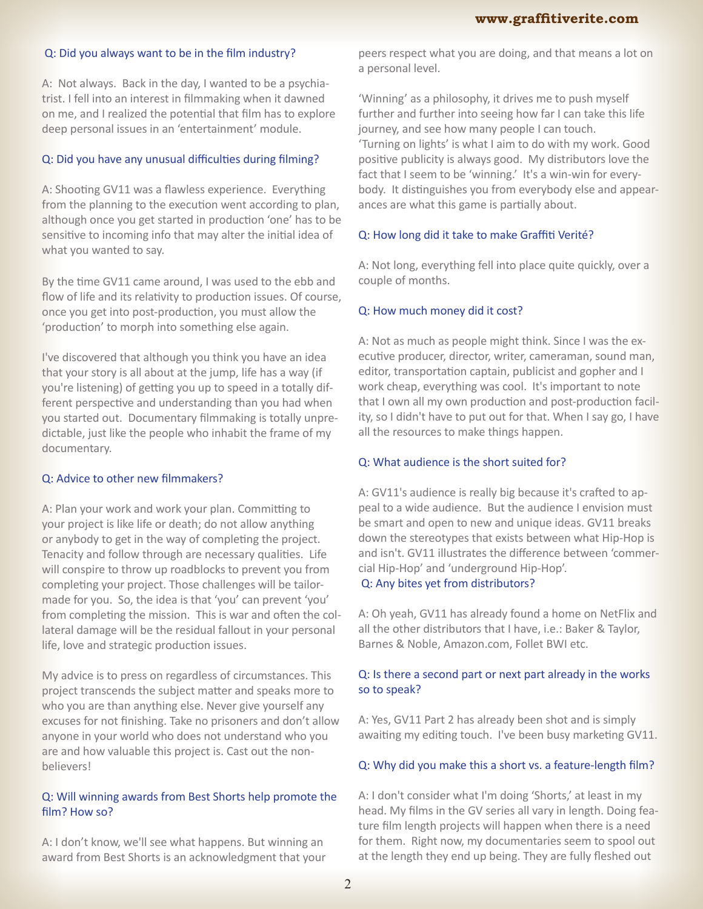# Q: Did you always want to be in the film industry?

A: Not always. Back in the day, I wanted to be a psychiatrist. I fell into an interest in filmmaking when it dawned on me, and I realized the potential that film has to explore deep personal issues in an 'entertainment' module.

#### Q: Did you have any unusual difficulties during filming?

A: Shooting GV11 was a flawless experience. Everything from the planning to the execution went according to plan, although once you get started in production 'one' has to be sensitive to incoming info that may alter the initial idea of what you wanted to say.

By the time GV11 came around, I was used to the ebb and flow of life and its relativity to production issues. Of course, once you get into post-production, you must allow the 'production' to morph into something else again.

I've discovered that although you think you have an idea that your story is all about at the jump, life has a way (if you're listening) of getting you up to speed in a totally different perspective and understanding than you had when you started out. Documentary filmmaking is totally unpredictable, just like the people who inhabit the frame of my documentary.

#### Q: Advice to other new filmmakers?

A: Plan your work and work your plan. Committing to your project is like life or death; do not allow anything or anybody to get in the way of completing the project. Tenacity and follow through are necessary qualities. Life will conspire to throw up roadblocks to prevent you from completing your project. Those challenges will be tailormade for you. So, the idea is that 'you' can prevent 'you' from completing the mission. This is war and often the collateral damage will be the residual fallout in your personal life, love and strategic production issues.

My advice is to press on regardless of circumstances. This project transcends the subject matter and speaks more to who you are than anything else. Never give yourself any excuses for not finishing. Take no prisoners and don't allow anyone in your world who does not understand who you are and how valuable this project is. Cast out the nonbelievers!

### Q: Will winning awards from Best Shorts help promote the film? How so?

A: I don't know, we'll see what happens. But winning an award from Best Shorts is an acknowledgment that your peers respect what you are doing, and that means a lot on a personal level.

'Winning' as a philosophy, it drives me to push myself further and further into seeing how far I can take this life journey, and see how many people I can touch. 'Turning on lights' is what I aim to do with my work. Good positive publicity is always good. My distributors love the fact that I seem to be 'winning.' It's a win-win for everybody. It distinguishes you from everybody else and appearances are what this game is partially about.

#### Q: How long did it take to make Graffiti Verité?

A: Not long, everything fell into place quite quickly, over a couple of months.

#### Q: How much money did it cost?

A: Not as much as people might think. Since I was the executive producer, director, writer, cameraman, sound man, editor, transportation captain, publicist and gopher and I work cheap, everything was cool. It's important to note that I own all my own production and post-production facility, so I didn't have to put out for that. When I say go, I have all the resources to make things happen.

# Q: What audience is the short suited for?

A: GV11's audience is really big because it's crafted to appeal to a wide audience. But the audience I envision must be smart and open to new and unique ideas. GV11 breaks down the stereotypes that exists between what Hip-Hop is and isn't. GV11 illustrates the difference between 'commercial Hip-Hop' and 'underground Hip-Hop'.

# Q: Any bites yet from distributors?

A: Oh yeah, GV11 has already found a home on NetFlix and all the other distributors that I have, i.e.: Baker & Taylor, Barnes & Noble, Amazon.com, Follet BWI etc.

# Q: Is there a second part or next part already in the works so to speak?

A: Yes, GV11 Part 2 has already been shot and is simply awaiting my editing touch. I've been busy marketing GV11.

#### Q: Why did you make this a short vs. a feature-length film?

A: I don't consider what I'm doing 'Shorts,' at least in my head. My films in the GV series all vary in length. Doing feature film length projects will happen when there is a need for them. Right now, my documentaries seem to spool out at the length they end up being. They are fully fleshed out